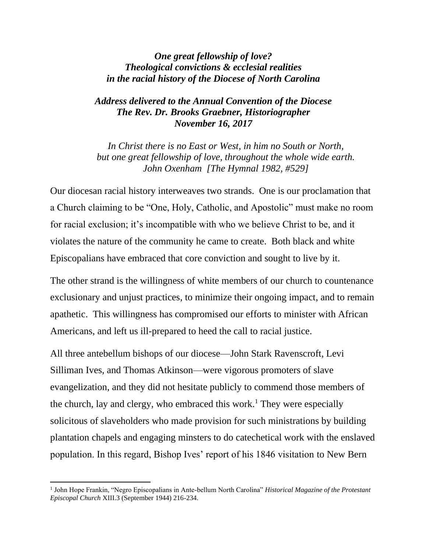## *One great fellowship of love? Theological convictions & ecclesial realities in the racial history of the Diocese of North Carolina*

## *Address delivered to the Annual Convention of the Diocese The Rev. Dr. Brooks Graebner, Historiographer November 16, 2017*

*In Christ there is no East or West, in him no South or North, but one great fellowship of love, throughout the whole wide earth. John Oxenham [The Hymnal 1982, #529]*

Our diocesan racial history interweaves two strands. One is our proclamation that a Church claiming to be "One, Holy, Catholic, and Apostolic" must make no room for racial exclusion; it's incompatible with who we believe Christ to be, and it violates the nature of the community he came to create. Both black and white Episcopalians have embraced that core conviction and sought to live by it.

The other strand is the willingness of white members of our church to countenance exclusionary and unjust practices, to minimize their ongoing impact, and to remain apathetic. This willingness has compromised our efforts to minister with African Americans, and left us ill-prepared to heed the call to racial justice.

All three antebellum bishops of our diocese—John Stark Ravenscroft, Levi Silliman Ives, and Thomas Atkinson—were vigorous promoters of slave evangelization, and they did not hesitate publicly to commend those members of the church, lay and clergy, who embraced this work.<sup>1</sup> They were especially solicitous of slaveholders who made provision for such ministrations by building plantation chapels and engaging minsters to do catechetical work with the enslaved population. In this regard, Bishop Ives' report of his 1846 visitation to New Bern

<sup>&</sup>lt;sup>1</sup> John Hope Frankin, "Negro Episcopalians in Ante-bellum North Carolina" *Historical Magazine of the Protestant Episcopal Church* XIII.3 (September 1944) 216-234.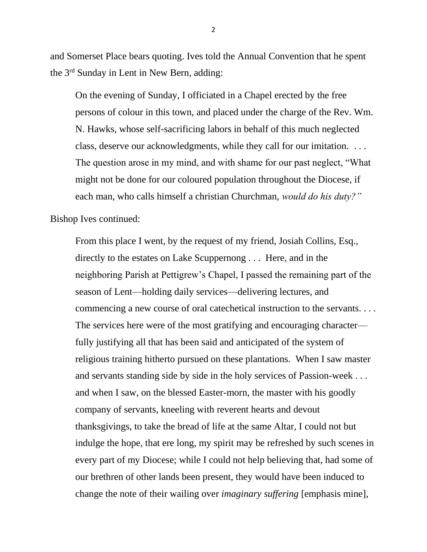and Somerset Place bears quoting. Ives told the Annual Convention that he spent the 3rd Sunday in Lent in New Bern, adding:

On the evening of Sunday, I officiated in a Chapel erected by the free persons of colour in this town, and placed under the charge of the Rev. Wm. N. Hawks, whose self-sacrificing labors in behalf of this much neglected class, deserve our acknowledgments, while they call for our imitation. . . . The question arose in my mind, and with shame for our past neglect, "What might not be done for our coloured population throughout the Diocese, if each man, who calls himself a christian Churchman, *would do his duty?"*

Bishop Ives continued:

From this place I went, by the request of my friend, Josiah Collins, Esq., directly to the estates on Lake Scuppernong . . . Here, and in the neighboring Parish at Pettigrew's Chapel, I passed the remaining part of the season of Lent—holding daily services—delivering lectures, and commencing a new course of oral catechetical instruction to the servants. . . . The services here were of the most gratifying and encouraging character fully justifying all that has been said and anticipated of the system of religious training hitherto pursued on these plantations. When I saw master and servants standing side by side in the holy services of Passion-week . . . and when I saw, on the blessed Easter-morn, the master with his goodly company of servants, kneeling with reverent hearts and devout thanksgivings, to take the bread of life at the same Altar, I could not but indulge the hope, that ere long, my spirit may be refreshed by such scenes in every part of my Diocese; while I could not help believing that, had some of our brethren of other lands been present, they would have been induced to change the note of their wailing over *imaginary suffering* [emphasis mine],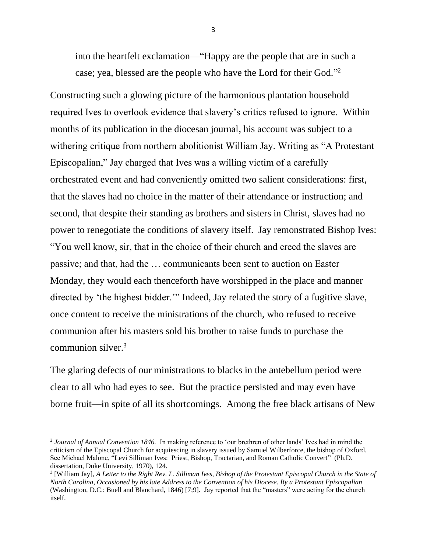into the heartfelt exclamation—"Happy are the people that are in such a case; yea, blessed are the people who have the Lord for their God."<sup>2</sup>

Constructing such a glowing picture of the harmonious plantation household required Ives to overlook evidence that slavery's critics refused to ignore. Within months of its publication in the diocesan journal, his account was subject to a withering critique from northern abolitionist William Jay. Writing as "A Protestant Episcopalian," Jay charged that Ives was a willing victim of a carefully orchestrated event and had conveniently omitted two salient considerations: first, that the slaves had no choice in the matter of their attendance or instruction; and second, that despite their standing as brothers and sisters in Christ, slaves had no power to renegotiate the conditions of slavery itself. Jay remonstrated Bishop Ives: "You well know, sir, that in the choice of their church and creed the slaves are passive; and that, had the … communicants been sent to auction on Easter Monday, they would each thenceforth have worshipped in the place and manner directed by 'the highest bidder.'" Indeed, Jay related the story of a fugitive slave, once content to receive the ministrations of the church, who refused to receive communion after his masters sold his brother to raise funds to purchase the communion silver.<sup>3</sup>

The glaring defects of our ministrations to blacks in the antebellum period were clear to all who had eyes to see. But the practice persisted and may even have borne fruit—in spite of all its shortcomings. Among the free black artisans of New

<sup>2</sup> *Journal of Annual Convention 1846.* In making reference to 'our brethren of other lands' Ives had in mind the criticism of the Episcopal Church for acquiescing in slavery issued by Samuel Wilberforce, the bishop of Oxford. See Michael Malone, "Levi Silliman Ives: Priest, Bishop, Tractarian, and Roman Catholic Convert"(Ph.D. dissertation, Duke University, 1970), 124.

<sup>3</sup> [William Jay], *A Letter to the Right Rev. L. Silliman Ives, Bishop of the Protestant Episcopal Church in the State of North Carolina, Occasioned by his late Address to the Convention of his Diocese. By a Protestant Episcopalian*  (Washington, D.C.: Buell and Blanchard, 1846) [7;9]. Jay reported that the "masters" were acting for the church itself.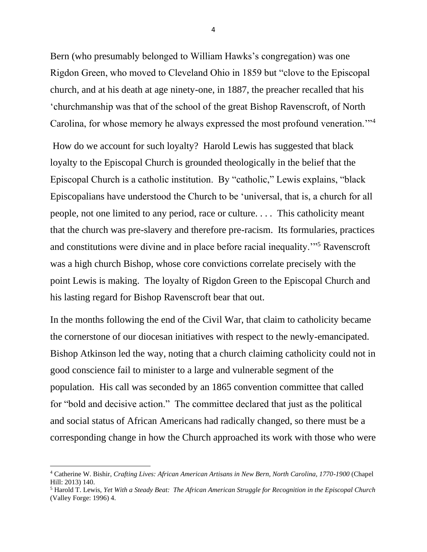Bern (who presumably belonged to William Hawks's congregation) was one Rigdon Green, who moved to Cleveland Ohio in 1859 but "clove to the Episcopal church, and at his death at age ninety-one, in 1887, the preacher recalled that his 'churchmanship was that of the school of the great Bishop Ravenscroft, of North Carolina, for whose memory he always expressed the most profound veneration."<sup>4</sup>

How do we account for such loyalty? Harold Lewis has suggested that black loyalty to the Episcopal Church is grounded theologically in the belief that the Episcopal Church is a catholic institution. By "catholic," Lewis explains, "black Episcopalians have understood the Church to be 'universal, that is, a church for all people, not one limited to any period, race or culture. . . . This catholicity meant that the church was pre-slavery and therefore pre-racism. Its formularies, practices and constitutions were divine and in place before racial inequality.'"<sup>5</sup> Ravenscroft was a high church Bishop, whose core convictions correlate precisely with the point Lewis is making. The loyalty of Rigdon Green to the Episcopal Church and his lasting regard for Bishop Ravenscroft bear that out.

In the months following the end of the Civil War, that claim to catholicity became the cornerstone of our diocesan initiatives with respect to the newly-emancipated. Bishop Atkinson led the way, noting that a church claiming catholicity could not in good conscience fail to minister to a large and vulnerable segment of the population. His call was seconded by an 1865 convention committee that called for "bold and decisive action." The committee declared that just as the political and social status of African Americans had radically changed, so there must be a corresponding change in how the Church approached its work with those who were

<sup>4</sup> Catherine W. Bishir, *Crafting Lives: African American Artisans in New Bern, North Carolina, 1770-1900* (Chapel Hill: 2013) 140.

<sup>5</sup> Harold T. Lewis, *Yet With a Steady Beat: The African American Struggle for Recognition in the Episcopal Church*  (Valley Forge: 1996) 4.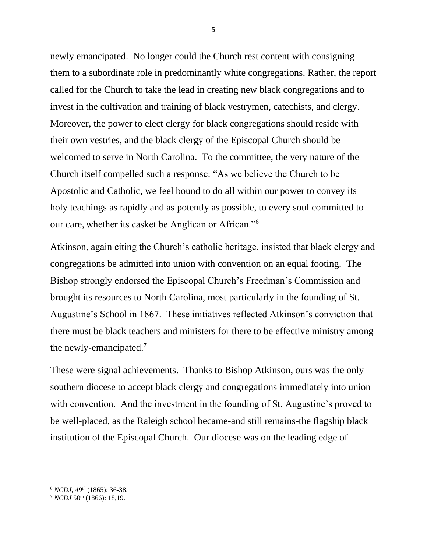newly emancipated. No longer could the Church rest content with consigning them to a subordinate role in predominantly white congregations. Rather, the report called for the Church to take the lead in creating new black congregations and to invest in the cultivation and training of black vestrymen, catechists, and clergy. Moreover, the power to elect clergy for black congregations should reside with their own vestries, and the black clergy of the Episcopal Church should be welcomed to serve in North Carolina. To the committee, the very nature of the Church itself compelled such a response: "As we believe the Church to be Apostolic and Catholic, we feel bound to do all within our power to convey its holy teachings as rapidly and as potently as possible, to every soul committed to our care, whether its casket be Anglican or African."<sup>6</sup>

Atkinson, again citing the Church's catholic heritage, insisted that black clergy and congregations be admitted into union with convention on an equal footing. The Bishop strongly endorsed the Episcopal Church's Freedman's Commission and brought its resources to North Carolina, most particularly in the founding of St. Augustine's School in 1867. These initiatives reflected Atkinson's conviction that there must be black teachers and ministers for there to be effective ministry among the newly-emancipated.<sup>7</sup>

These were signal achievements. Thanks to Bishop Atkinson, ours was the only southern diocese to accept black clergy and congregations immediately into union with convention. And the investment in the founding of St. Augustine's proved to be well-placed, as the Raleigh school became-and still remains-the flagship black institution of the Episcopal Church. Our diocese was on the leading edge of

<sup>6</sup> *NCDJ, 49th* (1865): 36-38.

<sup>7</sup> *NCDJ* 50th (1866): 18,19.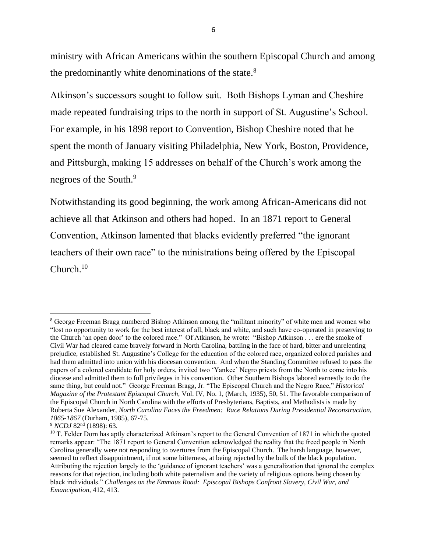ministry with African Americans within the southern Episcopal Church and among the predominantly white denominations of the state.<sup>8</sup>

Atkinson's successors sought to follow suit. Both Bishops Lyman and Cheshire made repeated fundraising trips to the north in support of St. Augustine's School. For example, in his 1898 report to Convention, Bishop Cheshire noted that he spent the month of January visiting Philadelphia, New York, Boston, Providence, and Pittsburgh, making 15 addresses on behalf of the Church's work among the negroes of the South.<sup>9</sup>

Notwithstanding its good beginning, the work among African-Americans did not achieve all that Atkinson and others had hoped. In an 1871 report to General Convention, Atkinson lamented that blacks evidently preferred "the ignorant teachers of their own race" to the ministrations being offered by the Episcopal Church.<sup>10</sup>

<sup>8</sup> George Freeman Bragg numbered Bishop Atkinson among the "militant minority" of white men and women who "lost no opportunity to work for the best interest of all, black and white, and such have co-operated in preserving to the Church 'an open door' to the colored race." Of Atkinson, he wrote: "Bishop Atkinson . . . ere the smoke of Civil War had cleared came bravely forward in North Carolina, battling in the face of hard, bitter and unrelenting prejudice, established St. Augustine's College for the education of the colored race, organized colored parishes and had them admitted into union with his diocesan convention. And when the Standing Committee refused to pass the papers of a colored candidate for holy orders, invited two 'Yankee' Negro priests from the North to come into his diocese and admitted them to full privileges in his convention. Other Southern Bishops labored earnestly to do the same thing, but could not." George Freeman Bragg, Jr. "The Episcopal Church and the Negro Race," *Historical Magazine of the Protestant Episcopal Church,* Vol. IV, No. 1, (March, 1935), 50, 51. The favorable comparison of the Episcopal Church in North Carolina with the efforts of Presbyterians, Baptists, and Methodists is made by Roberta Sue Alexander, *North Carolina Faces the Freedmen: Race Relations During Presidential Reconstruction, 1865-1867* (Durham, 1985), 67-75.

<sup>&</sup>lt;sup>9</sup> *NCDJ* 82<sup>nd</sup> (1898): 63.

<sup>&</sup>lt;sup>10</sup> T. Felder Dorn has aptly characterized Atkinson's report to the General Convention of 1871 in which the quoted remarks appear: "The 1871 report to General Convention acknowledged the reality that the freed people in North Carolina generally were not responding to overtures from the Episcopal Church. The harsh language, however, seemed to reflect disappointment, if not some bitterness, at being rejected by the bulk of the black population. Attributing the rejection largely to the 'guidance of ignorant teachers' was a generalization that ignored the complex reasons for that rejection, including both white paternalism and the variety of religious options being chosen by black individuals." *Challenges on the Emmaus Road: Episcopal Bishops Confront Slavery, Civil War, and Emancipation,* 412, 413.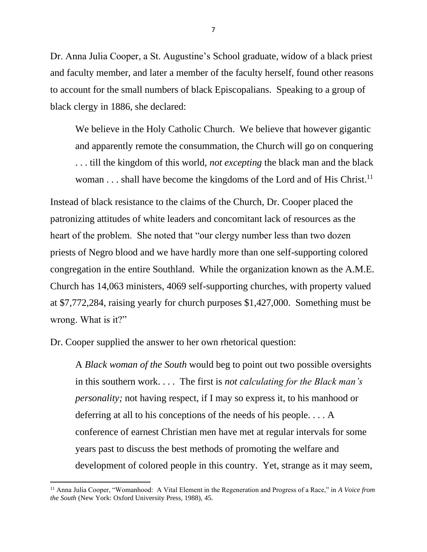Dr. Anna Julia Cooper, a St. Augustine's School graduate, widow of a black priest and faculty member, and later a member of the faculty herself, found other reasons to account for the small numbers of black Episcopalians. Speaking to a group of black clergy in 1886, she declared:

We believe in the Holy Catholic Church. We believe that however gigantic and apparently remote the consummation, the Church will go on conquering . . . till the kingdom of this world, *not excepting* the black man and the black woman . . . shall have become the kingdoms of the Lord and of His Christ.<sup>11</sup>

Instead of black resistance to the claims of the Church, Dr. Cooper placed the patronizing attitudes of white leaders and concomitant lack of resources as the heart of the problem. She noted that "our clergy number less than two dozen priests of Negro blood and we have hardly more than one self-supporting colored congregation in the entire Southland. While the organization known as the A.M.E. Church has 14,063 ministers, 4069 self-supporting churches, with property valued at \$7,772,284, raising yearly for church purposes \$1,427,000. Something must be wrong. What is it?"

Dr. Cooper supplied the answer to her own rhetorical question:

A *Black woman of the South* would beg to point out two possible oversights in this southern work. . . . The first is *not calculating for the Black man's personality;* not having respect, if I may so express it, to his manhood or deferring at all to his conceptions of the needs of his people. . . . A conference of earnest Christian men have met at regular intervals for some years past to discuss the best methods of promoting the welfare and development of colored people in this country. Yet, strange as it may seem,

<sup>11</sup> Anna Julia Cooper, "Womanhood: A Vital Element in the Regeneration and Progress of a Race," in *A Voice from the South* (New York: Oxford University Press, 1988), 45.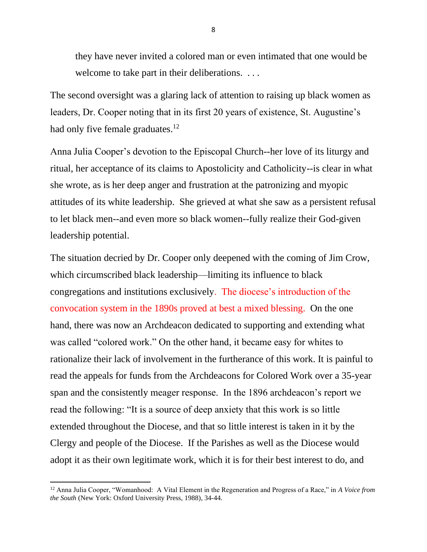they have never invited a colored man or even intimated that one would be welcome to take part in their deliberations. ...

The second oversight was a glaring lack of attention to raising up black women as leaders, Dr. Cooper noting that in its first 20 years of existence, St. Augustine's had only five female graduates.<sup>12</sup>

Anna Julia Cooper's devotion to the Episcopal Church--her love of its liturgy and ritual, her acceptance of its claims to Apostolicity and Catholicity--is clear in what she wrote, as is her deep anger and frustration at the patronizing and myopic attitudes of its white leadership. She grieved at what she saw as a persistent refusal to let black men--and even more so black women--fully realize their God-given leadership potential.

The situation decried by Dr. Cooper only deepened with the coming of Jim Crow, which circumscribed black leadership—limiting its influence to black congregations and institutions exclusively. The diocese's introduction of the convocation system in the 1890s proved at best a mixed blessing. On the one hand, there was now an Archdeacon dedicated to supporting and extending what was called "colored work." On the other hand, it became easy for whites to rationalize their lack of involvement in the furtherance of this work. It is painful to read the appeals for funds from the Archdeacons for Colored Work over a 35-year span and the consistently meager response. In the 1896 archdeacon's report we read the following: "It is a source of deep anxiety that this work is so little extended throughout the Diocese, and that so little interest is taken in it by the Clergy and people of the Diocese. If the Parishes as well as the Diocese would adopt it as their own legitimate work, which it is for their best interest to do, and

<sup>12</sup> Anna Julia Cooper, "Womanhood: A Vital Element in the Regeneration and Progress of a Race," in *A Voice from the South* (New York: Oxford University Press, 1988), 34-44.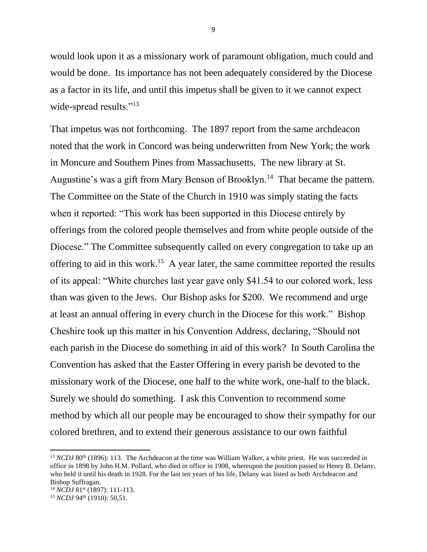would look upon it as a missionary work of paramount obligation, much could and would be done. Its importance has not been adequately considered by the Diocese as a factor in its life, and until this impetus shall be given to it we cannot expect wide-spread results."<sup>13</sup>

That impetus was not forthcoming. The 1897 report from the same archdeacon noted that the work in Concord was being underwritten from New York; the work in Moncure and Southern Pines from Massachusetts. The new library at St. Augustine's was a gift from Mary Benson of Brooklyn.<sup>14</sup> That became the pattern. The Committee on the State of the Church in 1910 was simply stating the facts when it reported: "This work has been supported in this Diocese entirely by offerings from the colored people themselves and from white people outside of the Diocese." The Committee subsequently called on every congregation to take up an offering to aid in this work.<sup>15</sup> A year later, the same committee reported the results of its appeal: "White churches last year gave only \$41.54 to our colored work, less than was given to the Jews. Our Bishop asks for \$200. We recommend and urge at least an annual offering in every church in the Diocese for this work." Bishop Cheshire took up this matter in his Convention Address, declaring, "Should not each parish in the Diocese do something in aid of this work? In South Carolina the Convention has asked that the Easter Offering in every parish be devoted to the missionary work of the Diocese, one half to the white work, one-half to the black. Surely we should do something. I ask this Convention to recommend some method by which all our people may be encouraged to show their sympathy for our colored brethren, and to extend their generous assistance to our own faithful

<sup>&</sup>lt;sup>13</sup> *NCDJ* 80<sup>th</sup> (1896): 113. The Archdeacon at the time was William Walker, a white priest. He was succeeded in office in 1898 by John H.M. Pollard, who died in office in 1908, whereupon the position passed to Henry B. Delany, who held it until his death in 1928. For the last ten years of his life, Delany was listed as both Archdeacon and Bishop Suffragan.

<sup>14</sup> *NCDJ* 81st (1897): 111-113.

<sup>&</sup>lt;sup>15</sup> *NCDJ* 94<sup>th</sup> (1910): 50,51.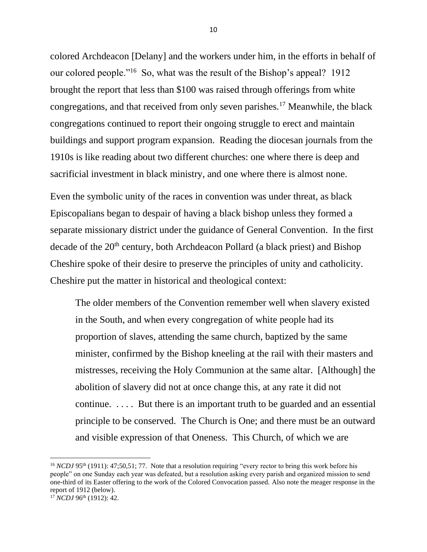colored Archdeacon [Delany] and the workers under him, in the efforts in behalf of our colored people."<sup>16</sup> So, what was the result of the Bishop's appeal? 1912 brought the report that less than \$100 was raised through offerings from white congregations, and that received from only seven parishes.<sup>17</sup> Meanwhile, the black congregations continued to report their ongoing struggle to erect and maintain buildings and support program expansion. Reading the diocesan journals from the 1910s is like reading about two different churches: one where there is deep and sacrificial investment in black ministry, and one where there is almost none.

Even the symbolic unity of the races in convention was under threat, as black Episcopalians began to despair of having a black bishop unless they formed a separate missionary district under the guidance of General Convention. In the first decade of the  $20<sup>th</sup>$  century, both Archdeacon Pollard (a black priest) and Bishop Cheshire spoke of their desire to preserve the principles of unity and catholicity. Cheshire put the matter in historical and theological context:

The older members of the Convention remember well when slavery existed in the South, and when every congregation of white people had its proportion of slaves, attending the same church, baptized by the same minister, confirmed by the Bishop kneeling at the rail with their masters and mistresses, receiving the Holy Communion at the same altar. [Although] the abolition of slavery did not at once change this, at any rate it did not continue. . . . . But there is an important truth to be guarded and an essential principle to be conserved. The Church is One; and there must be an outward and visible expression of that Oneness. This Church, of which we are

<sup>&</sup>lt;sup>16</sup> *NCDJ* 95<sup>th</sup> (1911): 47;50,51; 77. Note that a resolution requiring "every rector to bring this work before his people" on one Sunday each year was defeated, but a resolution asking every parish and organized mission to send one-third of its Easter offering to the work of the Colored Convocation passed. Also note the meager response in the report of 1912 (below).

 $17$  *NCDJ* 96<sup>th</sup> (1912): 42.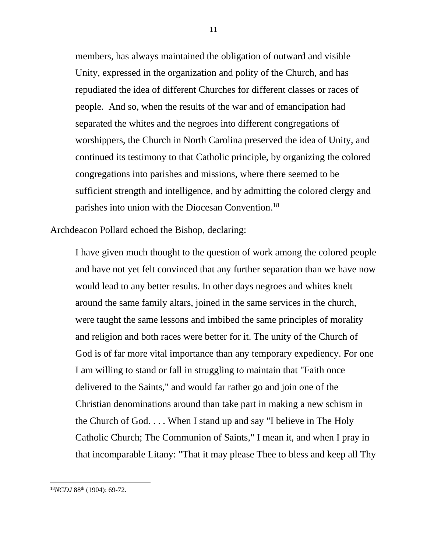members, has always maintained the obligation of outward and visible Unity, expressed in the organization and polity of the Church, and has repudiated the idea of different Churches for different classes or races of people. And so, when the results of the war and of emancipation had separated the whites and the negroes into different congregations of worshippers, the Church in North Carolina preserved the idea of Unity, and continued its testimony to that Catholic principle, by organizing the colored congregations into parishes and missions, where there seemed to be sufficient strength and intelligence, and by admitting the colored clergy and parishes into union with the Diocesan Convention.<sup>18</sup>

Archdeacon Pollard echoed the Bishop, declaring:

I have given much thought to the question of work among the colored people and have not yet felt convinced that any further separation than we have now would lead to any better results. In other days negroes and whites knelt around the same family altars, joined in the same services in the church, were taught the same lessons and imbibed the same principles of morality and religion and both races were better for it. The unity of the Church of God is of far more vital importance than any temporary expediency. For one I am willing to stand or fall in struggling to maintain that "Faith once delivered to the Saints," and would far rather go and join one of the Christian denominations around than take part in making a new schism in the Church of God. . . . When I stand up and say "I believe in The Holy Catholic Church; The Communion of Saints," I mean it, and when I pray in that incomparable Litany: "That it may please Thee to bless and keep all Thy

<sup>18</sup>*NCDJ* 88th (1904): 69-72.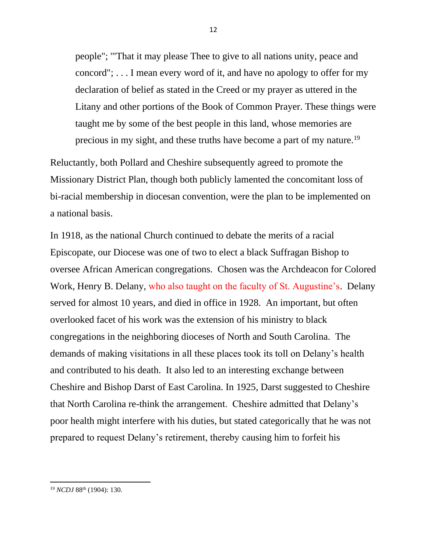people"; '"That it may please Thee to give to all nations unity, peace and concord"; . . . I mean every word of it, and have no apology to offer for my declaration of belief as stated in the Creed or my prayer as uttered in the Litany and other portions of the Book of Common Prayer. These things were taught me by some of the best people in this land, whose memories are precious in my sight, and these truths have become a part of my nature.<sup>19</sup>

Reluctantly, both Pollard and Cheshire subsequently agreed to promote the Missionary District Plan, though both publicly lamented the concomitant loss of bi-racial membership in diocesan convention, were the plan to be implemented on a national basis.

In 1918, as the national Church continued to debate the merits of a racial Episcopate, our Diocese was one of two to elect a black Suffragan Bishop to oversee African American congregations. Chosen was the Archdeacon for Colored Work, Henry B. Delany, who also taught on the faculty of St. Augustine's. Delany served for almost 10 years, and died in office in 1928. An important, but often overlooked facet of his work was the extension of his ministry to black congregations in the neighboring dioceses of North and South Carolina. The demands of making visitations in all these places took its toll on Delany's health and contributed to his death. It also led to an interesting exchange between Cheshire and Bishop Darst of East Carolina. In 1925, Darst suggested to Cheshire that North Carolina re-think the arrangement. Cheshire admitted that Delany's poor health might interfere with his duties, but stated categorically that he was not prepared to request Delany's retirement, thereby causing him to forfeit his

<sup>12</sup>

<sup>19</sup> *NCDJ* 88th (1904): 130.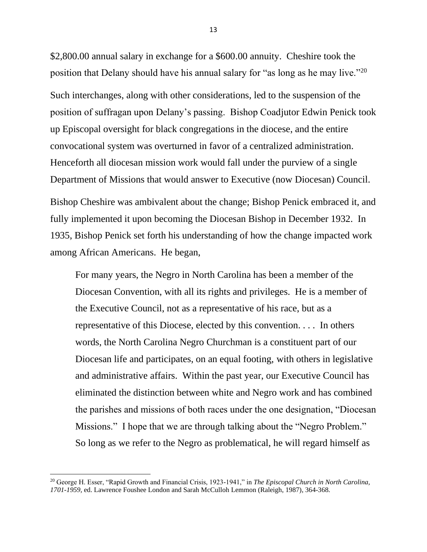\$2,800.00 annual salary in exchange for a \$600.00 annuity. Cheshire took the position that Delany should have his annual salary for "as long as he may live."<sup>20</sup> Such interchanges, along with other considerations, led to the suspension of the position of suffragan upon Delany's passing. Bishop Coadjutor Edwin Penick took up Episcopal oversight for black congregations in the diocese, and the entire convocational system was overturned in favor of a centralized administration. Henceforth all diocesan mission work would fall under the purview of a single Department of Missions that would answer to Executive (now Diocesan) Council. Bishop Cheshire was ambivalent about the change; Bishop Penick embraced it, and fully implemented it upon becoming the Diocesan Bishop in December 1932. In 1935, Bishop Penick set forth his understanding of how the change impacted work among African Americans. He began,

For many years, the Negro in North Carolina has been a member of the Diocesan Convention, with all its rights and privileges. He is a member of the Executive Council, not as a representative of his race, but as a representative of this Diocese, elected by this convention. . . . In others words, the North Carolina Negro Churchman is a constituent part of our Diocesan life and participates, on an equal footing, with others in legislative and administrative affairs. Within the past year, our Executive Council has eliminated the distinction between white and Negro work and has combined the parishes and missions of both races under the one designation, "Diocesan Missions." I hope that we are through talking about the "Negro Problem." So long as we refer to the Negro as problematical, he will regard himself as

<sup>20</sup> George H. Esser, "Rapid Growth and Financial Crisis, 1923-1941," in *The Episcopal Church in North Carolina, 1701-1959,* ed. Lawrence Foushee London and Sarah McCulloh Lemmon (Raleigh, 1987), 364-368.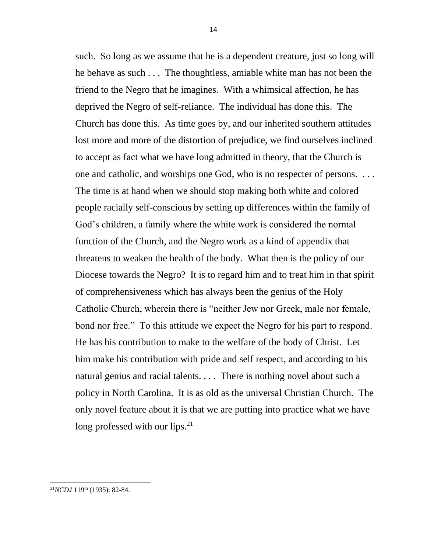such. So long as we assume that he is a dependent creature, just so long will he behave as such . . . The thoughtless, amiable white man has not been the friend to the Negro that he imagines. With a whimsical affection, he has deprived the Negro of self-reliance. The individual has done this. The Church has done this. As time goes by, and our inherited southern attitudes lost more and more of the distortion of prejudice, we find ourselves inclined to accept as fact what we have long admitted in theory, that the Church is one and catholic, and worships one God, who is no respecter of persons. . . . The time is at hand when we should stop making both white and colored people racially self-conscious by setting up differences within the family of God's children, a family where the white work is considered the normal function of the Church, and the Negro work as a kind of appendix that threatens to weaken the health of the body. What then is the policy of our Diocese towards the Negro? It is to regard him and to treat him in that spirit of comprehensiveness which has always been the genius of the Holy Catholic Church, wherein there is "neither Jew nor Greek, male nor female, bond nor free." To this attitude we expect the Negro for his part to respond. He has his contribution to make to the welfare of the body of Christ. Let him make his contribution with pride and self respect, and according to his natural genius and racial talents. . . . There is nothing novel about such a policy in North Carolina. It is as old as the universal Christian Church. The only novel feature about it is that we are putting into practice what we have long professed with our lips. $^{21}$ 

<sup>21</sup>*NCDJ* 119th (1935): 82-84.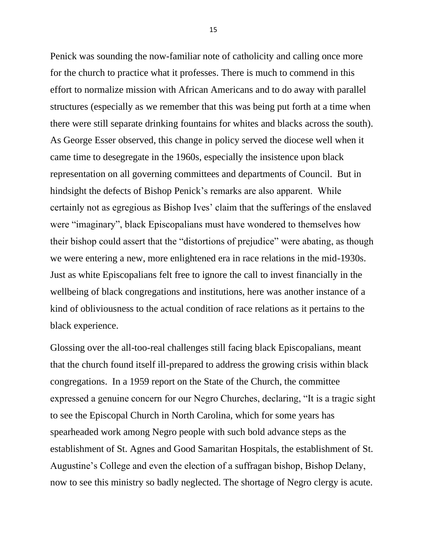Penick was sounding the now-familiar note of catholicity and calling once more for the church to practice what it professes. There is much to commend in this effort to normalize mission with African Americans and to do away with parallel structures (especially as we remember that this was being put forth at a time when there were still separate drinking fountains for whites and blacks across the south). As George Esser observed, this change in policy served the diocese well when it came time to desegregate in the 1960s, especially the insistence upon black representation on all governing committees and departments of Council. But in hindsight the defects of Bishop Penick's remarks are also apparent. While certainly not as egregious as Bishop Ives' claim that the sufferings of the enslaved were "imaginary", black Episcopalians must have wondered to themselves how their bishop could assert that the "distortions of prejudice" were abating, as though we were entering a new, more enlightened era in race relations in the mid-1930s. Just as white Episcopalians felt free to ignore the call to invest financially in the wellbeing of black congregations and institutions, here was another instance of a kind of obliviousness to the actual condition of race relations as it pertains to the black experience.

Glossing over the all-too-real challenges still facing black Episcopalians, meant that the church found itself ill-prepared to address the growing crisis within black congregations. In a 1959 report on the State of the Church, the committee expressed a genuine concern for our Negro Churches, declaring, "It is a tragic sight to see the Episcopal Church in North Carolina, which for some years has spearheaded work among Negro people with such bold advance steps as the establishment of St. Agnes and Good Samaritan Hospitals, the establishment of St. Augustine's College and even the election of a suffragan bishop, Bishop Delany, now to see this ministry so badly neglected. The shortage of Negro clergy is acute.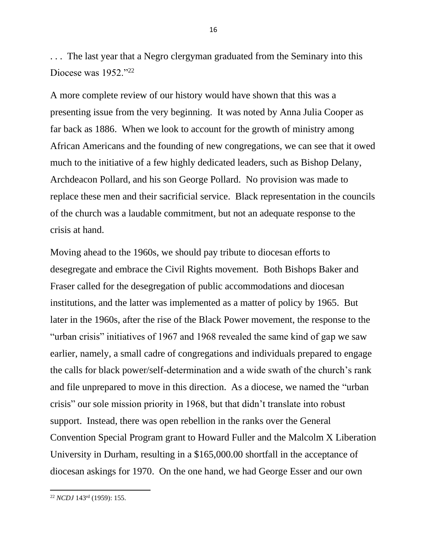. . . The last year that a Negro clergyman graduated from the Seminary into this Diocese was 1952."22

A more complete review of our history would have shown that this was a presenting issue from the very beginning. It was noted by Anna Julia Cooper as far back as 1886. When we look to account for the growth of ministry among African Americans and the founding of new congregations, we can see that it owed much to the initiative of a few highly dedicated leaders, such as Bishop Delany, Archdeacon Pollard, and his son George Pollard. No provision was made to replace these men and their sacrificial service. Black representation in the councils of the church was a laudable commitment, but not an adequate response to the crisis at hand.

Moving ahead to the 1960s, we should pay tribute to diocesan efforts to desegregate and embrace the Civil Rights movement. Both Bishops Baker and Fraser called for the desegregation of public accommodations and diocesan institutions, and the latter was implemented as a matter of policy by 1965. But later in the 1960s, after the rise of the Black Power movement, the response to the "urban crisis" initiatives of 1967 and 1968 revealed the same kind of gap we saw earlier, namely, a small cadre of congregations and individuals prepared to engage the calls for black power/self-determination and a wide swath of the church's rank and file unprepared to move in this direction. As a diocese, we named the "urban crisis" our sole mission priority in 1968, but that didn't translate into robust support. Instead, there was open rebellion in the ranks over the General Convention Special Program grant to Howard Fuller and the Malcolm X Liberation University in Durham, resulting in a \$165,000.00 shortfall in the acceptance of diocesan askings for 1970. On the one hand, we had George Esser and our own

<sup>22</sup> *NCDJ* 143rd (1959): 155.